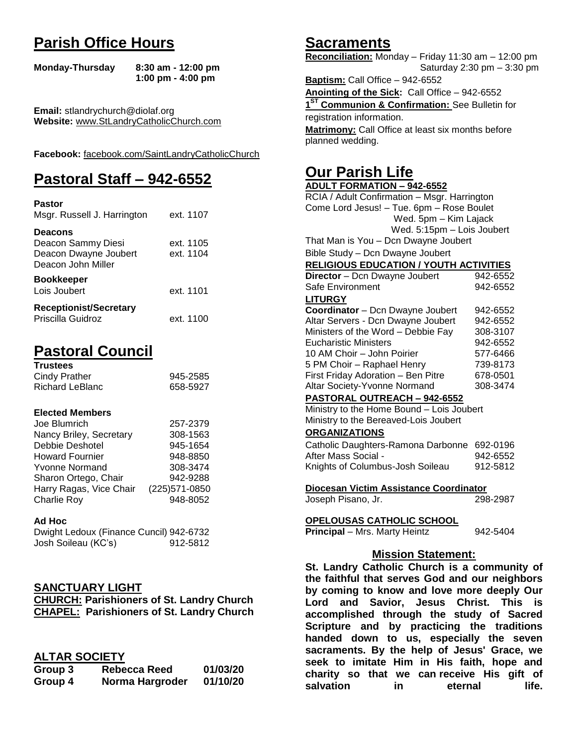## **Parish Office Hours**

```
Monday-Thursday 8:30 am - 12:00 pm
       1:00 pm - 4:00 pm
```
**Email:** stlandrychurch@diolaf.org **Website:** [www.StLandryCatholicChurch.com](http://www.stlandrycatholicchurch.com/)

**Facebook:** [facebook.com/SaintLandryCatholicChurch](http://facebook.com/SaintLandryCatholicChurch)

# **Pastoral Staff – 942-6552**

| <b>Pastor</b><br>Msgr. Russell J. Harrington                                        | ext. 1107              |
|-------------------------------------------------------------------------------------|------------------------|
| <b>Deacons</b><br>Deacon Sammy Diesi<br>Deacon Dwayne Joubert<br>Deacon John Miller | ext. 1105<br>ext. 1104 |
| <b>Bookkeeper</b><br>Lois Joubert                                                   | ext. 1101              |
| <b>Receptionist/Secretary</b><br>Priscilla Guidroz                                  | ext. 1100              |

# **Pastoral Council**

| <b>Trustees</b> |          |
|-----------------|----------|
| Cindy Prather   | 945-2585 |
| Richard LeBlanc | 658-5927 |

### **Elected Members**

| Joe Blumrich            | 257-2379       |
|-------------------------|----------------|
| Nancy Briley, Secretary | 308-1563       |
| Debbie Deshotel         | 945-1654       |
| <b>Howard Fournier</b>  | 948-8850       |
| <b>Yvonne Normand</b>   | 308-3474       |
| Sharon Ortego, Chair    | 942-9288       |
| Harry Ragas, Vice Chair | (225) 571-0850 |
| <b>Charlie Roy</b>      | 948-8052       |

#### **Ad Hoc**

Dwight Ledoux (Finance Cuncil) 942-6732 Josh Soileau (KC's) 912-5812

## **SANCTUARY LIGHT**

**CHURCH: Parishioners of St. Landry Church CHAPEL: Parishioners of St. Landry Church**

## **ALTAR SOCIETY**

| Group 3 | <b>Rebecca Reed</b> | 01/03/20 |
|---------|---------------------|----------|
| Group 4 | Norma Hargroder     | 01/10/20 |

## **Sacraments**

**Reconciliation:** Monday – Friday 11:30 am – 12:00 pm Saturday 2:30 pm – 3:30 pm

**Baptism:** Call Office – 942-6552 **Anointing of the Sick:** Call Office – 942-6552 **1 ST Communion & Confirmation:** See Bulletin for registration information. **Matrimony:** Call Office at least six months before planned wedding.

## **Our Parish Life**

| <b>ADULT FORMATION - 942-6552</b>             |          |
|-----------------------------------------------|----------|
| RCIA / Adult Confirmation - Msgr. Harrington  |          |
| Come Lord Jesus! - Tue. 6pm - Rose Boulet     |          |
| Wed. 5pm - Kim Lajack                         |          |
| Wed. 5:15pm - Lois Joubert                    |          |
| That Man is You - Dcn Dwayne Joubert          |          |
| Bible Study - Dcn Dwayne Joubert              |          |
| <b>RELIGIOUS EDUCATION / YOUTH ACTIVITIES</b> |          |
| Director - Dcn Dwayne Joubert                 | 942-6552 |
| Safe Environment                              | 942-6552 |
| <b>LITURGY</b>                                |          |
| Coordinator - Dcn Dwayne Joubert              | 942-6552 |
| Altar Servers - Dcn Dwayne Joubert            | 942-6552 |
| Ministers of the Word - Debbie Fay            | 308-3107 |
| <b>Eucharistic Ministers</b>                  | 942-6552 |
| 10 AM Choir - John Poirier                    | 577-6466 |
| 5 PM Choir - Raphael Henry                    | 739-8173 |
| First Friday Adoration - Ben Pitre            | 678-0501 |
| Altar Society-Yvonne Normand                  | 308-3474 |
| PASTORAL OUTREACH - 942-6552                  |          |
| Ministry to the Home Bound - Lois Joubert     |          |
| Ministry to the Bereaved-Lois Joubert         |          |
| <b>ORGANIZATIONS</b>                          |          |
| Catholic Daughters-Ramona Darbonne            | 692-0196 |
| After Mass Social -                           | 942-6552 |
| Knights of Columbus-Josh Soileau              | 912-5812 |
| Diocesan Victim Assistance Coordinator        |          |
| Joseph Pisano, Jr.                            | 298-2987 |
|                                               |          |
| <u>OPELOUSAS CATHOLIC SCHOOL</u>              |          |
| Principal - Mrs. Marty Heintz                 | 942-5404 |
| <b>Mission Statement:</b>                     |          |
| St. Landry Catholic Church is a communit      |          |
|                                               |          |

**St. Landry Catholic Church is a community of the faithful that serves God and our neighbors by coming to know and love more deeply Our Lord and Savior, Jesus Christ. This is accomplished through the study of Sacred Scripture and by practicing the traditions handed down to us, especially the seven sacraments. By the help of Jesus' Grace, we seek to imitate Him in His faith, hope and charity so that we can receive His gift of salvation in** eternal life.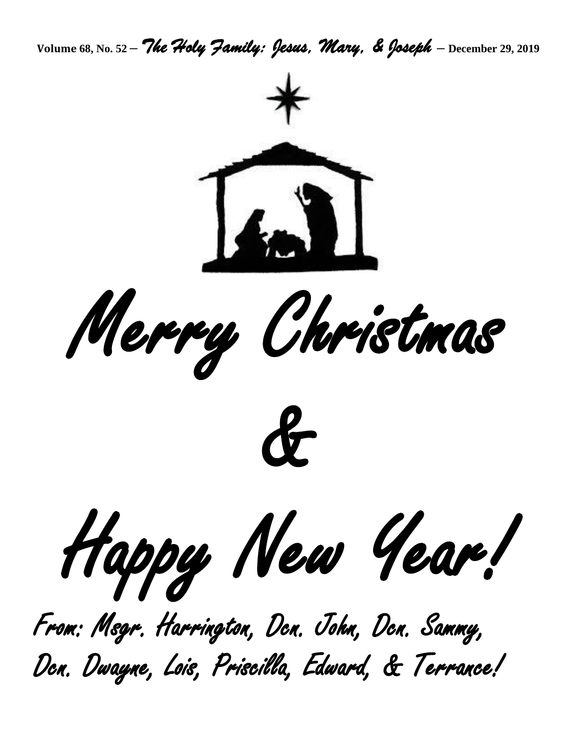**Volume 68, No. 52 –** *The Holy Family: Jesus, Mary, & Joseph* **– December 29, <sup>2019</sup>**



Dcn. Dwayne, Lois, Priscilla, Edward, & Terrance!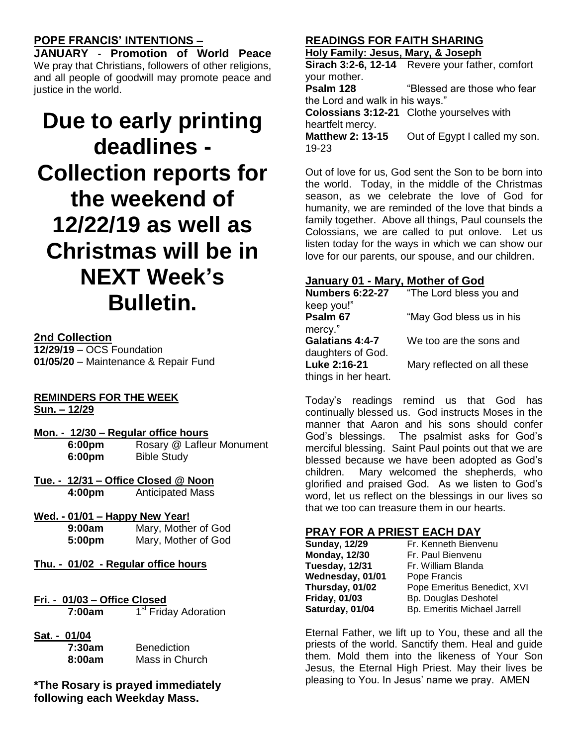## **POPE FRANCIS' INTENTIONS –**

**JANUARY - Promotion of World Peace** We pray that Christians, followers of other religions, and all people of goodwill may promote peace and justice in the world.

# **Due to early printing deadlines - Collection reports for the weekend of 12/22/19 as well as Christmas will be in NEXT Week's Bulletin.**

## **2nd Collection**

**12/29/19** – OCS Foundation **01/05/20** – Maintenance & Repair Fund

### **REMINDERS FOR THE WEEK Sun. – 12/29**

- **Mon. - 12/30 – Regular office hours 6:00pm** Rosary @ Lafleur Monument **6:00pm** Bible Study
- **Tue. - 12/31 – Office Closed @ Noon 4:00pm** Anticipated Mass
- **Wed. - 01/01 – Happy New Year!**

| 9:00am | Mary, Mother of God |
|--------|---------------------|
| 5:00pm | Mary, Mother of God |

- **Thu. - 01/02 - Regular office hours**
- **Fri. - 01/03 – Office Closed 7:00am** 1 1<sup>st</sup> Friday Adoration
- **Sat. - 01/04 7:30**

| 7:30am | <b>Benediction</b> |
|--------|--------------------|
| 8:00am | Mass in Church     |

**\*The Rosary is prayed immediately following each Weekday Mass.**

## **READINGS FOR FAITH SHARING**

**Holy Family: Jesus, Mary, & Joseph**

**Sirach 3:2-6, 12-14** Revere your father, comfort your mother.<br>Psalm 128

**Psalm 128** "Blessed are those who fear the Lord and walk in his ways."

**Colossians 3:12-21** Clothe yourselves with heartfelt mercy.

**Matthew 2: 13-15** Out of Egypt I called my son. 19-23

Out of love for us, God sent the Son to be born into the world. Today, in the middle of the Christmas season, as we celebrate the love of God for humanity, we are reminded of the love that binds a family together. Above all things, Paul counsels the Colossians, we are called to put onlove. Let us listen today for the ways in which we can show our love for our parents, our spouse, and our children.

## **January 01 - Mary, Mother of God**

| <b>Numbers 6:22-27</b> | "The Lord bless you and     |
|------------------------|-----------------------------|
| keep you!"             |                             |
| Psalm 67               | "May God bless us in his    |
| mercy."                |                             |
| <b>Galatians 4:4-7</b> | We too are the sons and     |
| daughters of God.      |                             |
| Luke 2:16-21           | Mary reflected on all these |
| things in her heart.   |                             |

Today's readings remind us that God has continually blessed us. God instructs Moses in the manner that Aaron and his sons should confer God's blessings. The psalmist asks for God's merciful blessing. Saint Paul points out that we are blessed because we have been adopted as God's children. Mary welcomed the shepherds, who glorified and praised God. As we listen to God's word, let us reflect on the blessings in our lives so that we too can treasure them in our hearts.

## **PRAY FOR A PRIEST EACH DAY**

| <b>Sunday, 12/29</b> | Fr. Kenneth Bienvenu         |
|----------------------|------------------------------|
| <b>Monday, 12/30</b> | Fr. Paul Bienvenu            |
| Tuesday, 12/31       | Fr. William Blanda           |
| Wednesday, 01/01     | Pope Francis                 |
| Thursday, 01/02      | Pope Emeritus Benedict, XVI  |
| <b>Friday, 01/03</b> | <b>Bp. Douglas Deshotel</b>  |
| Saturday, 01/04      | Bp. Emeritis Michael Jarrell |

Eternal Father, we lift up to You, these and all the priests of the world. Sanctify them. Heal and guide them. Mold them into the likeness of Your Son Jesus, the Eternal High Priest. May their lives be pleasing to You. In Jesus' name we pray. AMEN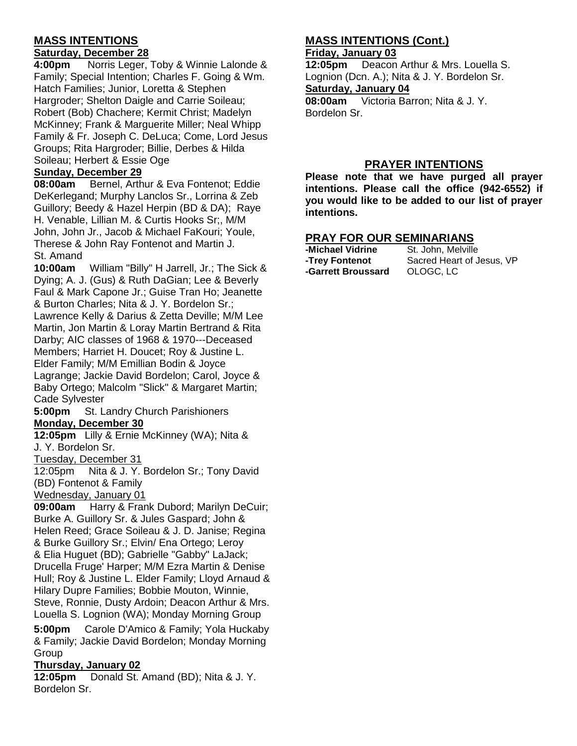## **MASS INTENTIONS**

## **Saturday, December 28**

**4:00pm** Norris Leger, Toby & Winnie Lalonde & Family; Special Intention; Charles F. Going & Wm. Hatch Families; Junior, Loretta & Stephen Hargroder; Shelton Daigle and Carrie Soileau; Robert (Bob) Chachere; Kermit Christ; Madelyn McKinney; Frank & Marguerite Miller; Neal Whipp Family & Fr. Joseph C. DeLuca; Come, Lord Jesus Groups; Rita Hargroder; Billie, Derbes & Hilda Soileau; Herbert & Essie Oge

## **Sunday, December 29**

**08:00am** Bernel, Arthur & Eva Fontenot; Eddie DeKerlegand; Murphy Lanclos Sr., Lorrina & Zeb Guillory; Beedy & Hazel Herpin (BD & DA); Raye H. Venable, Lillian M. & Curtis Hooks Sr;, M/M John, John Jr., Jacob & Michael FaKouri; Youle, Therese & John Ray Fontenot and Martin J. St. Amand

**10:00am** William "Billy" H Jarrell, Jr.; The Sick & Dying; A. J. (Gus) & Ruth DaGian; Lee & Beverly Faul & Mark Capone Jr.; Guise Tran Ho; Jeanette & Burton Charles; Nita & J. Y. Bordelon Sr.; Lawrence Kelly & Darius & Zetta Deville; M/M Lee Martin, Jon Martin & Loray Martin Bertrand & Rita Darby; AIC classes of 1968 & 1970---Deceased Members; Harriet H. Doucet; Roy & Justine L. Elder Family; M/M Emillian Bodin & Joyce Lagrange; Jackie David Bordelon; Carol, Joyce & Baby Ortego; Malcolm "Slick" & Margaret Martin; Cade Sylvester

**5:00pm** St. Landry Church Parishioners **Monday, December 30**

**12:05pm** Lilly & Ernie McKinney (WA); Nita & J. Y. Bordelon Sr.

Tuesday, December 31

12:05pm Nita & J. Y. Bordelon Sr.; Tony David (BD) Fontenot & Family

Wednesday, January 01

**09:00am** Harry & Frank Dubord; Marilyn DeCuir; Burke A. Guillory Sr. & Jules Gaspard; John & Helen Reed; Grace Soileau & J. D. Janise; Regina & Burke Guillory Sr.; Elvin/ Ena Ortego; Leroy & Elia Huguet (BD); Gabrielle "Gabby" LaJack; Drucella Fruge' Harper; M/M Ezra Martin & Denise Hull; Roy & Justine L. Elder Family; Lloyd Arnaud & Hilary Dupre Families; Bobbie Mouton, Winnie, Steve, Ronnie, Dusty Ardoin; Deacon Arthur & Mrs. Louella S. Lognion (WA); Monday Morning Group

**5:00pm** Carole D'Amico & Family; Yola Huckaby & Family; Jackie David Bordelon; Monday Morning Group

## **Thursday, January 02**

**12:05pm** Donald St. Amand (BD); Nita & J. Y. Bordelon Sr.

## **MASS INTENTIONS (Cont.)**

### **Friday, January 03**

**12:05pm** Deacon Arthur & Mrs. Louella S. Lognion (Dcn. A.); Nita & J. Y. Bordelon Sr. **Saturday, January 04 08:00am** Victoria Barron; Nita & J. Y. Bordelon Sr.

## **PRAYER INTENTIONS**

**Please note that we have purged all prayer intentions. Please call the office (942-6552) if you would like to be added to our list of prayer intentions.** 

# **PRAY FOR OUR SEMINARIANS**<br>-Michael Vidrine St. John, Melville

**-Michael Vidrine -Garrett Broussard** OLOGC, LC

**-Trey Fontenot** Sacred Heart of Jesus, VP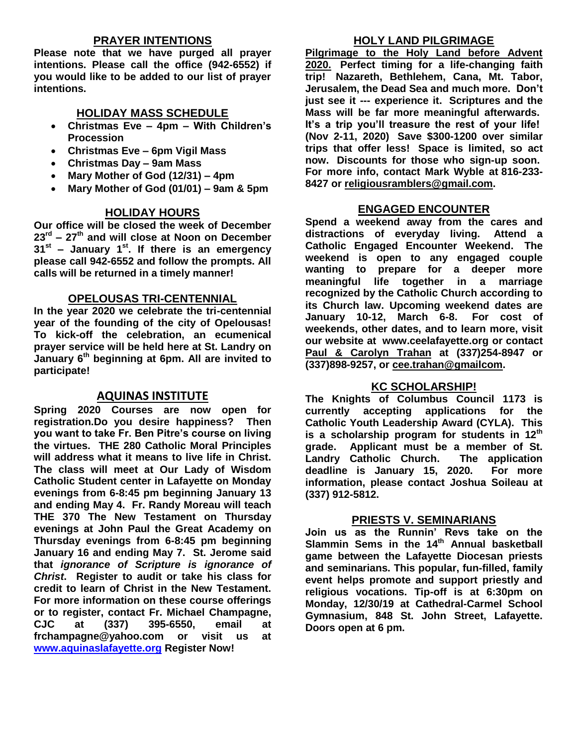## **PRAYER INTENTIONS**

**Please note that we have purged all prayer intentions. Please call the office (942-6552) if you would like to be added to our list of prayer intentions.** 

## **HOLIDAY MASS SCHEDULE**

- **Christmas Eve – 4pm – With Children's Procession**
- **Christmas Eve – 6pm Vigil Mass**
- **Christmas Day – 9am Mass**
- **Mary Mother of God (12/31) – 4pm**
- **Mary Mother of God (01/01) – 9am & 5pm**

## **HOLIDAY HOURS**

**Our office will be closed the week of December 23rd – 27th and will close at Noon on December 31st – January 1st. If there is an emergency please call 942-6552 and follow the prompts. All calls will be returned in a timely manner!**

## **OPELOUSAS TRI-CENTENNIAL**

**In the year 2020 we celebrate the tri-centennial year of the founding of the city of Opelousas! To kick-off the celebration, an ecumenical prayer service will be held here at St. Landry on January 6th beginning at 6pm. All are invited to participate!** 

## **AQUINAS INSTITUTE**

**Spring 2020 Courses are now open for registration.Do you desire happiness? Then you want to take Fr. Ben Pitre's course on living the virtues. THE 280 Catholic Moral Principles will address what it means to live life in Christ. The class will meet at Our Lady of Wisdom Catholic Student center in Lafayette on Monday evenings from 6-8:45 pm beginning January 13 and ending May 4. Fr. Randy Moreau will teach THE 370 The New Testament on Thursday evenings at John Paul the Great Academy on Thursday evenings from 6-8:45 pm beginning January 16 and ending May 7. St. Jerome said that** *ignorance of Scripture is ignorance of Christ***. Register to audit or take his class for credit to learn of Christ in the New Testament. For more information on these course offerings or to register, contact Fr. Michael Champagne, CJC at (337) 395-6550, email at frchampagne@yahoo.com or visit us at [www.aquinaslafayette.org](http://www.aquinaslafayette.org/) Register Now!**

## **HOLY LAND PILGRIMAGE**

**Pilgrimage to the Holy Land before Advent 2020. Perfect timing for a life-changing faith trip! Nazareth, Bethlehem, Cana, Mt. Tabor, Jerusalem, the Dead Sea and much more. Don't just see it --- experience it. Scriptures and the Mass will be far more meaningful afterwards. It's a trip you'll treasure the rest of your life! (Nov 2-11, 2020) Save \$300-1200 over similar trips that offer less! Space is limited, so act now. Discounts for those who sign-up soon. For more info, contact Mark Wyble at 816-233- 8427 or [religiousramblers@gmail.com.](mailto:religiousramblers@gmail.com)**

## **ENGAGED ENCOUNTER**

**Spend a weekend away from the cares and distractions of everyday living. Attend a Catholic Engaged Encounter Weekend. The weekend is open to any engaged couple wanting to prepare for a deeper more meaningful life together in a marriage recognized by the Catholic Church according to its Church law. Upcoming weekend dates are January 10-12, March 6-8. For cost of weekends, other dates, and to learn more, visit our website at www.ceelafayette.org or contact Paul & Carolyn Trahan at (337)254-8947 or (337)898-9257, or [cee.trahan@gmailcom.](mailto:cee.trahan@gmailcom)**

## **KC SCHOLARSHIP!**

**The Knights of Columbus Council 1173 is currently accepting applications for the Catholic Youth Leadership Award (CYLA). This is a scholarship program for students in 12th grade. Applicant must be a member of St. Landry Catholic Church. The application deadline is January 15, 2020. For more information, please contact Joshua Soileau at (337) 912-5812.**

## **PRIESTS V. SEMINARIANS**

**Join us as the Runnin' Revs take on the Slammin Sems in the 14 th Annual basketball game between the Lafayette Diocesan priests and seminarians. This popular, fun-filled, family event helps promote and support priestly and religious vocations. Tip-off is at 6:30pm on Monday, 12/30/19 at Cathedral-Carmel School Gymnasium, 848 St. John Street, Lafayette. Doors open at 6 pm.**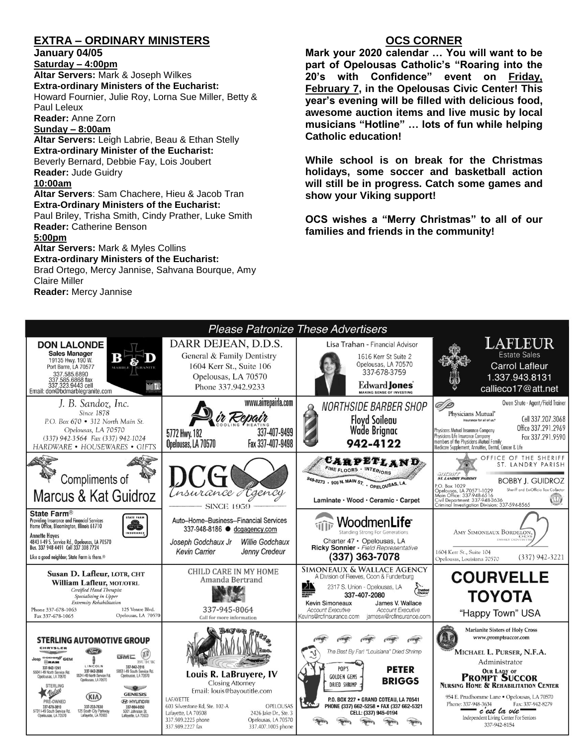## **EXTRA – ORDINARY MINISTERS**

**January 04/05**

**Saturday – 4:00pm Altar Servers:** Mark & Joseph Wilkes **Extra-ordinary Ministers of the Eucharist:**  Howard Fournier, Julie Roy, Lorna Sue Miller, Betty & Paul Leleux **Reader:** Anne Zorn

#### **Sunday – 8:00am**

**Altar Servers:** Leigh Labrie, Beau & Ethan Stelly **Extra-ordinary Minister of the Eucharist:** Beverly Bernard, Debbie Fay, Lois Joubert **Reader:** Jude Guidry **10:00am**

**Altar Servers**: Sam Chachere, Hieu & Jacob Tran **Extra-Ordinary Ministers of the Eucharist:**

Paul Briley, Trisha Smith, Cindy Prather, Luke Smith **Reader:** Catherine Benson

#### **5:00pm**

**Altar Servers:** Mark & Myles Collins **Extra-ordinary Ministers of the Eucharist:** Brad Ortego, Mercy Jannise, Sahvana Bourque, Amy Claire Miller

**Reader:** Mercy Jannise

## **OCS CORNER**

**Mark your 2020 calendar … You will want to be part of Opelousas Catholic's "Roaring into the 20's with Confidence" event on Friday, February 7, in the Opelousas Civic Center! This year's evening will be filled with delicious food, awesome auction items and live music by local musicians "Hotline" … lots of fun while helping Catholic education!**

**While school is on break for the Christmas holidays, some soccer and basketball action will still be in progress. Catch some games and show your Viking support!** 

**OCS wishes a "Merry Christmas" to all of our families and friends in the community!**